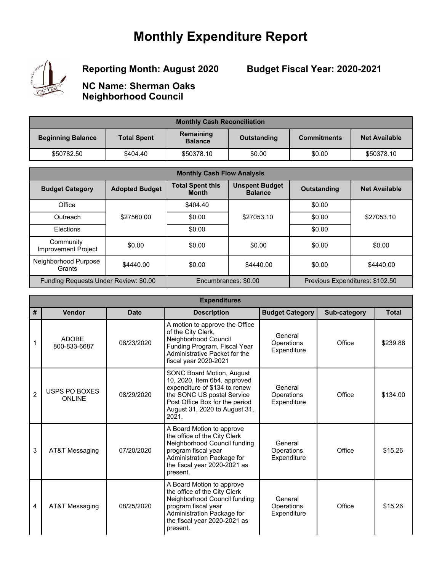# **Monthly Expenditure Report**



**Reporting Month: August 2020**

**Budget Fiscal Year: 2020-2021**

**NC Name: Sherman Oaks Neighborhood Council**

| <b>Monthly Cash Reconciliation</b> |                    |                             |             |                    |                      |
|------------------------------------|--------------------|-----------------------------|-------------|--------------------|----------------------|
| <b>Beginning Balance</b>           | <b>Total Spent</b> | Remaining<br><b>Balance</b> | Outstanding | <b>Commitments</b> | <b>Net Available</b> |
| \$50782.50                         | \$404.40           | \$50378.10                  | \$0.00      | \$0.00             | \$50378.10           |

| <b>Monthly Cash Flow Analysis</b>       |                       |                                         |                                         |                    |                                 |  |
|-----------------------------------------|-----------------------|-----------------------------------------|-----------------------------------------|--------------------|---------------------------------|--|
| <b>Budget Category</b>                  | <b>Adopted Budget</b> | <b>Total Spent this</b><br><b>Month</b> | <b>Unspent Budget</b><br><b>Balance</b> | <b>Outstanding</b> | <b>Net Available</b>            |  |
| Office                                  |                       | \$404.40                                |                                         | \$0.00             |                                 |  |
| Outreach                                | \$27560.00            | \$0.00                                  | \$27053.10                              | \$0.00             | \$27053.10                      |  |
| Elections                               |                       | \$0.00                                  |                                         | \$0.00             |                                 |  |
| Community<br><b>Improvement Project</b> | \$0.00                | \$0.00                                  | \$0.00                                  | \$0.00             | \$0.00                          |  |
| Neighborhood Purpose<br>Grants          | \$4440.00             | \$0.00                                  | \$4440.00                               | \$0.00             | \$4440.00                       |  |
| Funding Requests Under Review: \$0.00   |                       |                                         | Encumbrances: \$0.00                    |                    | Previous Expenditures: \$102.50 |  |

|                | <b>Expenditures</b>            |             |                                                                                                                                                                                                                                    |                                      |              |              |  |  |
|----------------|--------------------------------|-------------|------------------------------------------------------------------------------------------------------------------------------------------------------------------------------------------------------------------------------------|--------------------------------------|--------------|--------------|--|--|
| #              | Vendor                         | <b>Date</b> | <b>Description</b>                                                                                                                                                                                                                 | <b>Budget Category</b>               | Sub-category | <b>Total</b> |  |  |
|                | <b>ADOBE</b><br>800-833-6687   | 08/23/2020  | A motion to approve the Office<br>of the City Clerk,<br>General<br>Neighborhood Council<br>Operations<br>Funding Program, Fiscal Year<br>Expenditure<br>Administrative Packet for the<br>fiscal year 2020-2021                     |                                      | Office       | \$239.88     |  |  |
| $\overline{2}$ | USPS PO BOXES<br><b>ONLINE</b> | 08/29/2020  | <b>SONC Board Motion, August</b><br>10, 2020, Item 6b4, approved<br>expenditure of \$134 to renew<br>the SONC US postal Service<br>Post Office Box for the period<br>August 31, 2020 to August 31,<br>2021.                        | General<br>Operations<br>Expenditure | Office       | \$134.00     |  |  |
| 3              | AT&T Messaging                 | 07/20/2020  | A Board Motion to approve<br>the office of the City Clerk<br>Neighborhood Council funding<br>General<br>program fiscal year<br>Operations<br>Administration Package for<br>Expenditure<br>the fiscal year 2020-2021 as<br>present. |                                      | Office       | \$15.26      |  |  |
| 4              | AT&T Messaging                 | 08/25/2020  | A Board Motion to approve<br>the office of the City Clerk<br>Neighborhood Council funding<br>program fiscal year<br>Administration Package for<br>the fiscal year 2020-2021 as<br>present.                                         | General<br>Operations<br>Expenditure | Office       | \$15.26      |  |  |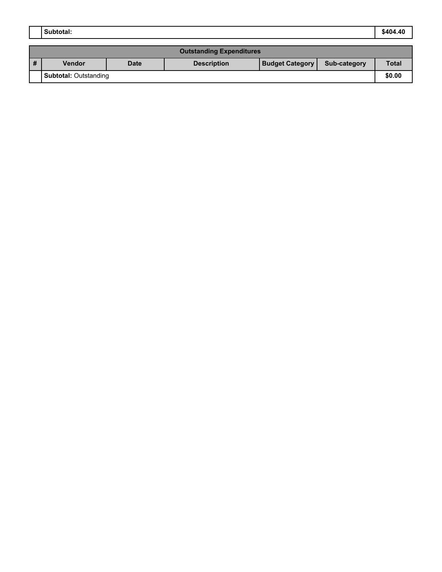| <u>. п. </u><br>Aſ<br><b>CANA</b><br>'btotal.<br>∽.<br>------<br>$\sim$ |  |  |
|-------------------------------------------------------------------------|--|--|
|                                                                         |  |  |

|                              | <b>Outstanding Expenditures</b>                    |  |  |                        |              |        |  |  |
|------------------------------|----------------------------------------------------|--|--|------------------------|--------------|--------|--|--|
| #                            | <b>Date</b><br><b>Description</b><br><b>Vendor</b> |  |  | <b>Budget Category</b> | Sub-category | Total  |  |  |
| <b>Subtotal: Outstanding</b> |                                                    |  |  |                        |              | \$0.00 |  |  |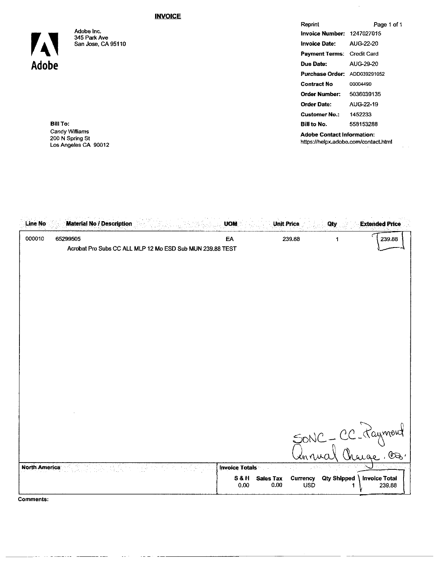#### **INVOICE**



Adobe Inc. 345 Park Ave San Jose, CA 95110

Invoice Number: 1247027015 **Invoice Date:** AUG-22-20 Payment Terms: Credit Card **Due Date:** AUG-29-20 Purchase Order: ADD039291052 **Contract No** 00004490 **Order Number:** 5036039135 **Order Date:** AUG-22-19 **Customer No.:** 1452233 **Bill to No.** 558153288 **Adobe Contact Information:** 

https://helpx.adobe.com/contact.html

Page 1 of 1

Reprint

**Bill To:** Candy Williams 200 N Spring St Los Angeles CA 90012

Line No **Material No / Description UOM Unit Price** Qty **Extended Price** ∄im

| 000010               | 65299505                                                  | EA                     |                          | 239.88                 | 1                | 239.88                         |
|----------------------|-----------------------------------------------------------|------------------------|--------------------------|------------------------|------------------|--------------------------------|
|                      | Acrobat Pro Subs CC ALL MLP 12 Mo ESD Sub MUN 239.88 TEST |                        |                          |                        |                  |                                |
|                      |                                                           |                        |                          |                        |                  |                                |
|                      |                                                           |                        |                          |                        |                  |                                |
|                      |                                                           |                        |                          |                        |                  |                                |
|                      |                                                           |                        |                          |                        |                  |                                |
|                      |                                                           |                        |                          |                        |                  |                                |
|                      |                                                           |                        |                          |                        |                  |                                |
|                      |                                                           |                        |                          |                        |                  |                                |
|                      |                                                           |                        |                          |                        |                  |                                |
|                      |                                                           |                        |                          |                        |                  |                                |
|                      |                                                           |                        |                          |                        |                  |                                |
|                      |                                                           |                        |                          |                        |                  |                                |
|                      |                                                           |                        |                          |                        |                  |                                |
|                      |                                                           |                        |                          |                        |                  |                                |
|                      |                                                           |                        |                          |                        |                  |                                |
|                      |                                                           |                        |                          |                        |                  | SONC - CC-Payment              |
| <b>North America</b> | e Meretine<br>Verdiciente i                               | <b>Invoice Totals</b>  |                          |                        |                  |                                |
|                      |                                                           | <b>S&amp;H</b><br>0.00 | <b>Sales Tax</b><br>0.00 | Currency<br><b>USD</b> | Qty Shipped<br>1 | <b>Invoice Total</b><br>239.88 |

Comments: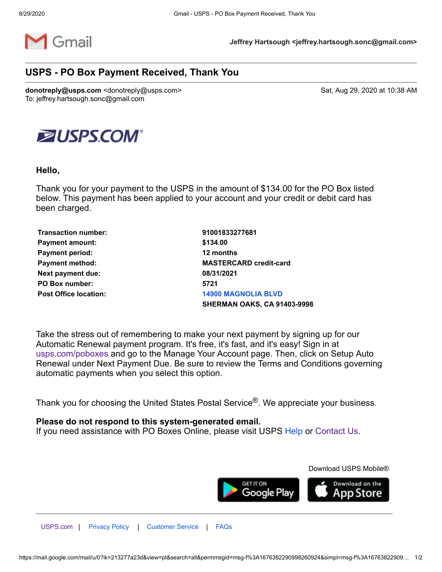

**Jeffrey Hartsough <jeffrey.hartsough.sonc@gmail.com>**

### **USPS - PO Box Payment Received, Thank You**

**donotreply@usps.com** <donotreply@usps.com> Sat, Aug 29, 2020 at 10:38 AM To: jeffrey.hartsough.sonc@gmail.com



**Hello,**

Thank you for your payment to the USPS in the amount of \$134.00 for the PO Box listed below. This payment has been applied to your account and your credit or debit card has been charged.

| <b>Transaction number:</b>   | $9100^{\circ}$ |
|------------------------------|----------------|
| <b>Payment amount:</b>       | \$134.         |
| <b>Payment period:</b>       | $12 \text{ m}$ |
| <b>Payment method:</b>       | <b>MAS</b>     |
| <b>Next payment due:</b>     | 08/31          |
| PO Box number:               | 5721           |
| <b>Post Office location:</b> | 1490           |
|                              |                |

**Transaction number: 91001833277681 Payment amount: \$134.00 Payment period: 12 months Payment method: MASTERCARD credit-card Next payment due: 08/31/2021 Post Office location: [14900 MAGNOLIA BLVD](https://www.google.com/maps/search/14900+MAGNOLIA+BLVD+SHERMAN+OAKS,+CA%0D%0A91403?entry=gmail&source=g) SHERMAN OAKS, CA 91403-9998**

Take the stress out of remembering to make your next payment by signing up for our Automatic Renewal payment program. It's free, it's fast, and it's easy! Sign in at [usps.com/poboxes](https://www.usps.com/poboxes) and go to the Manage Your Account page. Then, click on Setup Auto Renewal under Next Payment Due. Be sure to review the Terms and Conditions governing automatic payments when you select this option.

Thank you for choosing the United States Postal Service<sup>®</sup>. We appreciate your business.

#### **Please do not respond to this system-generated email.**

If you need assistance with PO Boxes Online, please visit USPS [Help](https://faq.usps.com/s/) or [Contact Us](https://www.usps.com/help/contact-us.htm).

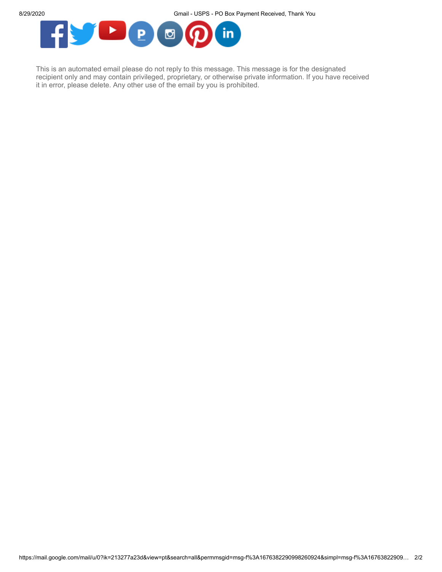

This is an automated email please do not reply to this message. This message is for the designated recipient only and may contain privileged, proprietary, or otherwise private information. If you have received it in error, please delete. Any other use of the email by you is prohibited.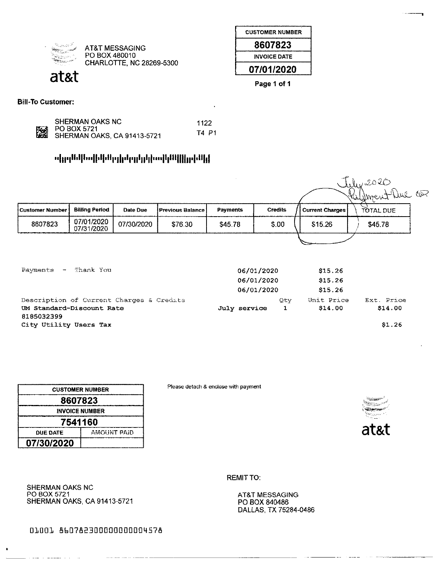AT&T MESSAGING PO BOX 480010 **CHARLOTTE, NC 28269-5300** 

## at&t

| <b>CUSTOMER NUMBER</b> |
|------------------------|
| 8607823                |
| <b>INVOICE DATE</b>    |
| 07/01/2020             |
|                        |

Page 1 of 1

### **Bill-To Customer:**

| SHERMAN OAKS NC                                              | 1122  |
|--------------------------------------------------------------|-------|
|                                                              |       |
| <b>BASE PO BOX 5721<br/>BASE SHERMAN OAKS, CA 91413-5721</b> | T4 P1 |

### իլեեկոլ|||Ակերերուկեր||սրեղից||ամ||եկոր||ա

|                 |                          |            |                         |                 |                |                        | July 2020<br>Hallment Due car |  |
|-----------------|--------------------------|------------|-------------------------|-----------------|----------------|------------------------|-------------------------------|--|
| Customer Number | <b>Billing Period</b>    | Date Due   | <b>Previous Balance</b> | <b>Payments</b> | <b>Credits</b> | <b>Current Charges</b> | TOTAL DUE                     |  |
| 8607823         | 07/01/2020<br>07/31/2020 | 07/30/2020 | \$76.30                 | \$45.78         | \$.00          | \$15.26                | \$45.78                       |  |
|                 |                          |            |                         |                 |                |                        |                               |  |

| Thank You<br>Payments -                                                                                       | 06/01/2020<br>06/01/2020<br>06/01/2020 |     | \$15.26<br>\$15.26<br>\$15.26 |                                |
|---------------------------------------------------------------------------------------------------------------|----------------------------------------|-----|-------------------------------|--------------------------------|
| Description of Current Charges & Credits<br>UM Standard-Discount Rate<br>8185032399<br>City Utility Users Tax | July service                           | Otv | Unit Price<br>\$14.00         | Ext. Price<br>\$14.00<br>S1.26 |

| <b>CUSTOMER NUMBER</b>                |         |  |  |
|---------------------------------------|---------|--|--|
| 8607823                               |         |  |  |
| <b>INVOICE NUMBER</b>                 |         |  |  |
|                                       | 7541160 |  |  |
| <b>AMOUNT PAID</b><br><b>DUE DATE</b> |         |  |  |
| 07/30/2020                            |         |  |  |

Please detach & enclose with payment



 $\mathcal{L}$ 

at&t

**REMIT TO:** 

AT&T MESSAGING PO BOX 840486 DALLAS, TX 75284-0486

SHERMAN OAKS NC PO BOX 5721 SHERMAN OAKS, CA 91413-5721

### 01001 860782300000000004578

 $\sim$   $\sim$   $\sim$  $\sim 100$  and the mass of  $\sim 100$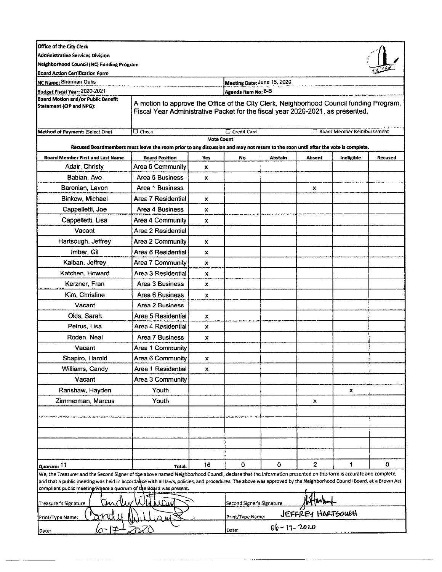| Office of the City Clerk                                                                                                                                                                                                                                                                                                                                                                                  |                                                                                                                                                                           |                             |                           |                                       |        |                                   |         |
|-----------------------------------------------------------------------------------------------------------------------------------------------------------------------------------------------------------------------------------------------------------------------------------------------------------------------------------------------------------------------------------------------------------|---------------------------------------------------------------------------------------------------------------------------------------------------------------------------|-----------------------------|---------------------------|---------------------------------------|--------|-----------------------------------|---------|
| Administrative Services Division                                                                                                                                                                                                                                                                                                                                                                          |                                                                                                                                                                           |                             |                           |                                       |        |                                   |         |
| Neighborhood Council (NC) Funding Program                                                                                                                                                                                                                                                                                                                                                                 |                                                                                                                                                                           |                             |                           |                                       |        |                                   |         |
| <b>Board Action Certification Form</b>                                                                                                                                                                                                                                                                                                                                                                    |                                                                                                                                                                           |                             |                           |                                       |        |                                   |         |
| NC Name: Sherman Oaks                                                                                                                                                                                                                                                                                                                                                                                     |                                                                                                                                                                           | Meeting Date: June 15, 2020 |                           |                                       |        |                                   |         |
| Budget Fiscal Year: 2020-2021<br><b>Board Motion and/or Public Benefit</b>                                                                                                                                                                                                                                                                                                                                |                                                                                                                                                                           |                             | Agenda Item No: 6-B       |                                       |        |                                   |         |
| Statement (CIP and NPG):                                                                                                                                                                                                                                                                                                                                                                                  | A motion to approve the Office of the City Clerk, Neighborhood Council funding Program,<br>Fiscal Year Administrative Packet for the fiscal year 2020-2021, as presented. |                             |                           |                                       |        |                                   |         |
| Method of Payment: (Select One)                                                                                                                                                                                                                                                                                                                                                                           | $\Box$ Check                                                                                                                                                              |                             | Credit Card               |                                       |        | $\Box$ Board Member Reimbursement |         |
|                                                                                                                                                                                                                                                                                                                                                                                                           | Recused Boardmembers must leave the room prior to any discussion and may not return to the roon until after the vote is complete.                                         | <b>Vote Count</b>           |                           |                                       |        |                                   |         |
| <b>Board Member First and Last Name</b>                                                                                                                                                                                                                                                                                                                                                                   | <b>Board Position</b>                                                                                                                                                     | Yes                         | No                        | Abstain                               | Absent | ineligible                        | Recused |
| Adair, Christy                                                                                                                                                                                                                                                                                                                                                                                            | Area 5 Community                                                                                                                                                          | x                           |                           |                                       |        |                                   |         |
| Babian, Avo                                                                                                                                                                                                                                                                                                                                                                                               | Area 5 Business                                                                                                                                                           | х                           |                           |                                       |        |                                   |         |
| Baronian, Lavon                                                                                                                                                                                                                                                                                                                                                                                           | Area 1 Business                                                                                                                                                           |                             |                           |                                       | x      |                                   |         |
| Binkow, Michael                                                                                                                                                                                                                                                                                                                                                                                           | Area 7 Residential                                                                                                                                                        | x                           |                           |                                       |        |                                   |         |
| Cappelletti, Joe                                                                                                                                                                                                                                                                                                                                                                                          | Area 4 Business                                                                                                                                                           | x                           |                           |                                       |        |                                   |         |
| Cappelletti, Lisa                                                                                                                                                                                                                                                                                                                                                                                         | Area 4 Community                                                                                                                                                          | x                           |                           |                                       |        |                                   |         |
| Vacant                                                                                                                                                                                                                                                                                                                                                                                                    | Area 2 Residential                                                                                                                                                        |                             |                           |                                       |        |                                   |         |
| Hartsough, Jeffrey                                                                                                                                                                                                                                                                                                                                                                                        | Area 2 Community                                                                                                                                                          | x                           |                           |                                       |        |                                   |         |
| Imber, Gil                                                                                                                                                                                                                                                                                                                                                                                                | Area 6 Residential                                                                                                                                                        | x                           |                           |                                       |        |                                   |         |
| Kalban, Jeffrey                                                                                                                                                                                                                                                                                                                                                                                           | Area 7 Community                                                                                                                                                          | x                           |                           |                                       |        |                                   |         |
| Katchen, Howard                                                                                                                                                                                                                                                                                                                                                                                           | Area 3 Residential                                                                                                                                                        | x                           |                           |                                       |        |                                   |         |
| Kerzner, Fran                                                                                                                                                                                                                                                                                                                                                                                             | Area 3 Business                                                                                                                                                           | x                           |                           |                                       |        |                                   |         |
| Kim, Christine                                                                                                                                                                                                                                                                                                                                                                                            | Area 6 Business                                                                                                                                                           | x                           |                           |                                       |        |                                   |         |
| Vacant                                                                                                                                                                                                                                                                                                                                                                                                    | Area 2 Business                                                                                                                                                           |                             |                           |                                       |        |                                   |         |
| Olds, Sarah                                                                                                                                                                                                                                                                                                                                                                                               | Area 5 Residential                                                                                                                                                        | x                           |                           |                                       |        |                                   |         |
| Petrus, Lisa                                                                                                                                                                                                                                                                                                                                                                                              | Area 4 Residential                                                                                                                                                        | x                           |                           |                                       |        |                                   |         |
| Roden, Neal                                                                                                                                                                                                                                                                                                                                                                                               | Area 7 Business                                                                                                                                                           | x                           |                           |                                       |        |                                   |         |
| Vacant                                                                                                                                                                                                                                                                                                                                                                                                    | Area 1 Community                                                                                                                                                          |                             |                           |                                       |        |                                   |         |
| Shapiro, Harold                                                                                                                                                                                                                                                                                                                                                                                           | Area 6 Community                                                                                                                                                          | x                           |                           |                                       |        |                                   |         |
| Williams, Candy                                                                                                                                                                                                                                                                                                                                                                                           | Area 1 Residential                                                                                                                                                        | x                           |                           |                                       |        |                                   |         |
| Vacant                                                                                                                                                                                                                                                                                                                                                                                                    | Area 3 Community                                                                                                                                                          |                             |                           |                                       |        |                                   |         |
|                                                                                                                                                                                                                                                                                                                                                                                                           |                                                                                                                                                                           |                             |                           |                                       |        |                                   |         |
| Ranshaw, Hayden                                                                                                                                                                                                                                                                                                                                                                                           | Youth                                                                                                                                                                     |                             |                           |                                       |        | x                                 |         |
| Zimmerman, Marcus                                                                                                                                                                                                                                                                                                                                                                                         | Youth                                                                                                                                                                     |                             |                           |                                       | х      |                                   |         |
|                                                                                                                                                                                                                                                                                                                                                                                                           |                                                                                                                                                                           |                             |                           |                                       |        |                                   |         |
|                                                                                                                                                                                                                                                                                                                                                                                                           |                                                                                                                                                                           |                             |                           |                                       |        |                                   |         |
|                                                                                                                                                                                                                                                                                                                                                                                                           |                                                                                                                                                                           |                             |                           |                                       |        |                                   |         |
|                                                                                                                                                                                                                                                                                                                                                                                                           |                                                                                                                                                                           |                             |                           |                                       |        |                                   |         |
|                                                                                                                                                                                                                                                                                                                                                                                                           |                                                                                                                                                                           |                             |                           |                                       |        |                                   |         |
| Quorum: 11                                                                                                                                                                                                                                                                                                                                                                                                | Total:                                                                                                                                                                    | 16                          | 0                         | 0                                     | 2      | 1                                 | 0       |
| We, the Treasurer and the Second Signer of the above named Neighborhood Council, declare that the information presented on this form is accurate and complete,<br>and that a public meeting was held in accordance with all laws, policies, and procedures. The above was approved by the Neighborhood Council Board, at a Brown Act<br>compliant public meeting where a quorum of the Board was present. |                                                                                                                                                                           |                             |                           |                                       |        |                                   |         |
| anclin<br>Treasurer's Signature                                                                                                                                                                                                                                                                                                                                                                           | LOW                                                                                                                                                                       |                             | Second Signer's Signature |                                       |        |                                   |         |
| mac<br>Print/Type Name:                                                                                                                                                                                                                                                                                                                                                                                   |                                                                                                                                                                           |                             |                           | JEFFREY HARTSOUGH<br>Print/Type Name: |        |                                   |         |
| /ে া≵∸<br><i>2020</i><br>lDate:                                                                                                                                                                                                                                                                                                                                                                           |                                                                                                                                                                           |                             | $06 - 17 - 2020$<br>Date: |                                       |        |                                   |         |

 $\sim$   $-$ 

لاسا للاست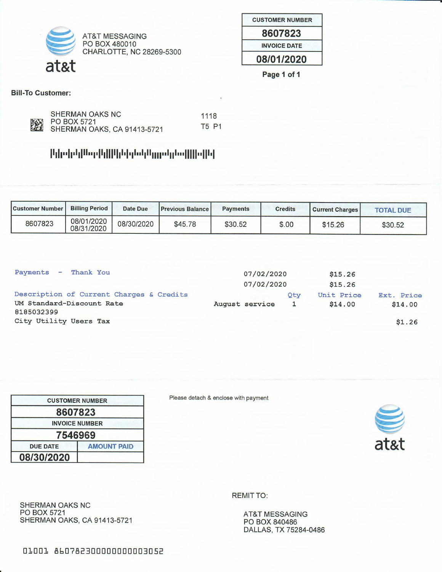

AT&T MESSAGING<br>PO BOX 480010<br>CHARLOTTE, NC 28269-5300

| <b>CUSTOMER NUMBER</b> |  |
|------------------------|--|
| 8607823                |  |
| <b>INVOICE DATE</b>    |  |
| 08/01/2020             |  |

Page 1 of 1

**Bill-To Customer:** 

| SHERMAN OAKS NC                                        | 1118  |
|--------------------------------------------------------|-------|
| ਇੱਲੋ‡ PO BOX 5721<br>ਇਰੰਡੀ SHERMAN OAKS, CA 91413-5721 | T5 P1 |

## <u>Բլիշիների կարկան գետկալության կազմ</u>

| <b>Customer Number</b> | <b>Billing Period</b>    | Date Due   | <b>Previous Balance</b> | <b>Payments</b> | <b>Credits</b> | <b>Current Charges</b> | <b>TOTAL DUE</b> |
|------------------------|--------------------------|------------|-------------------------|-----------------|----------------|------------------------|------------------|
| 8607823                | 08/01/2020<br>08/31/2020 | 08/30/2020 | \$45.78                 | \$30.52         | \$.00          | \$15.26                | \$30.52          |

| Thank You<br>Payments<br>$\overline{\phantom{a}}$                                   | 07/02/2020     |     | \$15.26               |                       |
|-------------------------------------------------------------------------------------|----------------|-----|-----------------------|-----------------------|
|                                                                                     | 07/02/2020     |     | \$15.26               |                       |
| Description of Current Charges & Credits<br>UM Standard-Discount Rate<br>8185032399 | August service | Oty | Unit Price<br>\$14.00 | Ext. Price<br>\$14.00 |
| City Utility Users Tax                                                              |                |     |                       | \$1.26                |

|                 | <b>CUSTOMER NUMBER</b> |
|-----------------|------------------------|
| 8607823         |                        |
|                 | <b>INVOICE NUMBER</b>  |
| 7546969         |                        |
| <b>DUE DATE</b> | <b>AMOUNT PAID</b>     |
| 08/30/2020      |                        |

Please detach & enclose with payment



SHERMAN OAKS NC PO BOX 5721 SHERMAN OAKS, CA 91413-5721 **REMIT TO:** 

**AT&T MESSAGING** PO BOX 840486 DALLAS, TX 75284-0486

01001 860782300000000003052